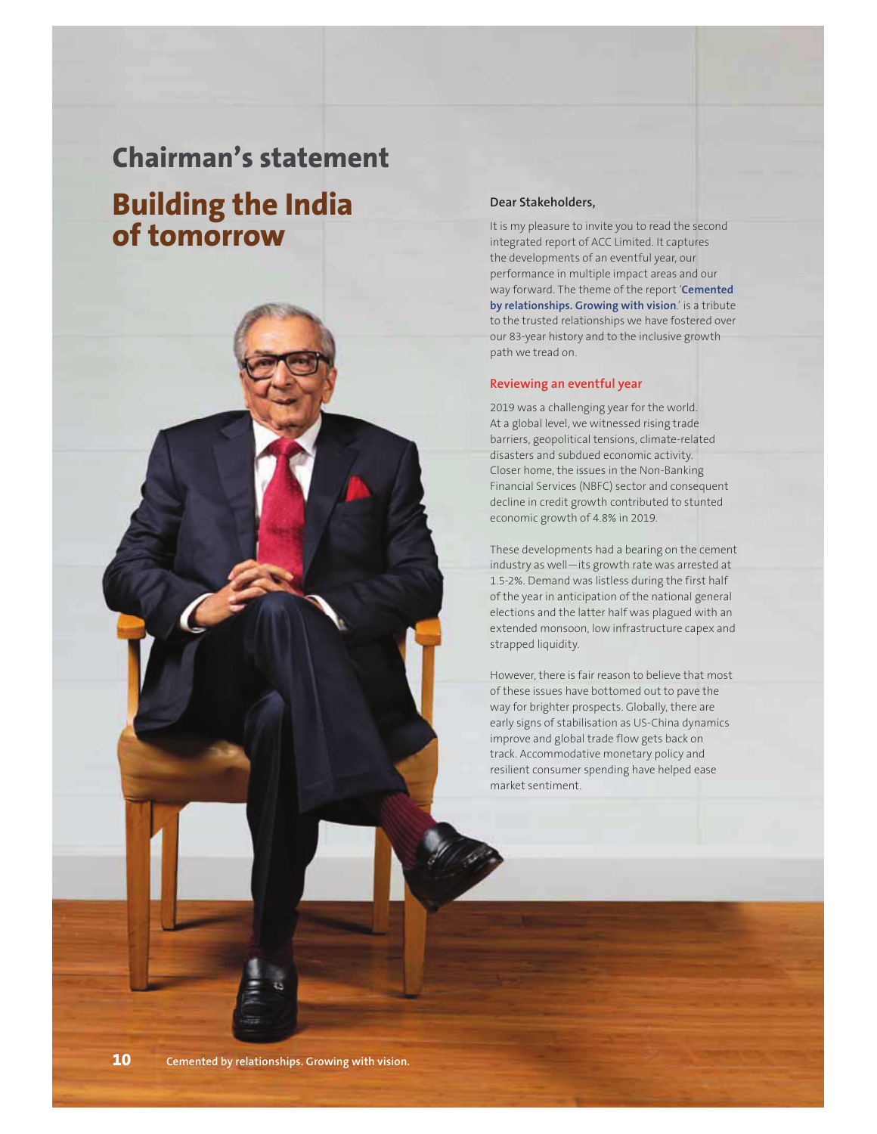## **Chairman's statement**

# **Building the India of tomorrow**



#### **Dear Stakeholders,**

It is my pleasure to invite you to read the second integrated report of ACC Limited. It captures the developments of an eventful year, our performance in multiple impact areas and our way forward. The theme of the report '**Cemented by relationships. Growing with vision**.' is a tribute to the trusted relationships we have fostered over our 83-year history and to the inclusive growth path we tread on.

#### **Reviewing an eventful year**

2019 was a challenging year for the world. At a global level, we witnessed rising trade barriers, geopolitical tensions, climate-related disasters and subdued economic activity. Closer home, the issues in the Non-Banking Financial Services (NBFC) sector and consequent decline in credit growth contributed to stunted economic growth of 4.8% in 2019.

These developments had a bearing on the cement industry as well—its growth rate was arrested at 1.5-2%. Demand was listless during the first half of the year in anticipation of the national general elections and the latter half was plagued with an extended monsoon, low infrastructure capex and strapped liquidity.

However, there is fair reason to believe that most of these issues have bottomed out to pave the way for brighter prospects. Globally, there are early signs of stabilisation as US-China dynamics improve and global trade flow gets back on track. Accommodative monetary policy and resilient consumer spending have helped ease market sentiment.